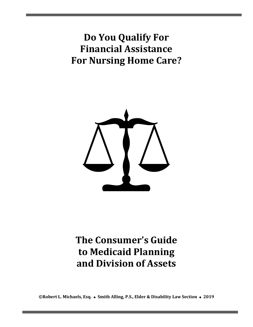**Do You Qualify For Financial Assistance For Nursing Home Care?**



# **The Consumer's Guide to Medicaid Planning and Division of Assets**

**©Robert L. Michaels, Esq.** ⚫ **Smith Alling, P.S., Elder & Disability Law Section** ⚫ **2019**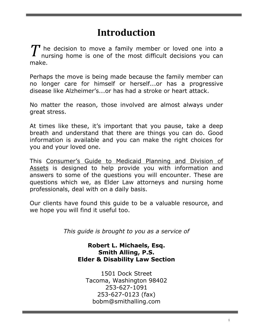### **Introduction**

he decision to move a family member or loved one into a nursing home is one of the most difficult decisions you can make. *T*

Perhaps the move is being made because the family member can no longer care for himself or herself...or has a progressive disease like Alzheimer's...or has had a stroke or heart attack.

No matter the reason, those involved are almost always under great stress.

At times like these, it's important that you pause, take a deep breath and understand that there are things you can do. Good information is available and you can make the right choices for you and your loved one.

This Consumer's Guide to Medicaid Planning and Division of Assets is designed to help provide you with information and answers to some of the questions you will encounter. These are questions which we, as Elder Law attorneys and nursing home professionals, deal with on a daily basis.

Our clients have found this guide to be a valuable resource, and we hope you will find it useful too.

*This guide is brought to you as a service of*

#### **Robert L. Michaels, Esq. Smith Alling, P.S. Elder & Disability Law Section**

1501 Dock Street Tacoma, Washington 98402 253-627-1091 253-627-0123 (fax) bobm@smithalling.com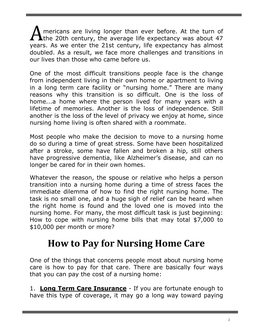mericans are living longer than ever before. At the turn of A mericans are living longer than ever before. At the turn of the 20th century, the average life expectancy was about 47 years. As we enter the 21st century, life expectancy has almost doubled. As a result, we face more challenges and transitions in our lives than those who came before us.

One of the most difficult transitions people face is the change from independent living in their own home or apartment to living in a long term care facility or "nursing home." There are many reasons why this transition is so difficult. One is the loss of home...a home where the person lived for many years with a lifetime of memories. Another is the loss of independence. Still another is the loss of the level of privacy we enjoy at home, since nursing home living is often shared with a roommate.

Most people who make the decision to move to a nursing home do so during a time of great stress. Some have been hospitalized after a stroke, some have fallen and broken a hip, still others have progressive dementia, like Alzheimer's disease, and can no longer be cared for in their own homes.

Whatever the reason, the spouse or relative who helps a person transition into a nursing home during a time of stress faces the immediate dilemma of how to find the right nursing home. The task is no small one, and a huge sigh of relief can be heard when the right home is found and the loved one is moved into the nursing home. For many, the most difficult task is just beginning: How to cope with nursing home bills that may total \$7,000 to \$10,000 per month or more?

### **How to Pay for Nursing Home Care**

One of the things that concerns people most about nursing home care is how to pay for that care. There are basically four ways that you can pay the cost of a nursing home:

1. **Long Term Care Insurance** - If you are fortunate enough to have this type of coverage, it may go a long way toward paying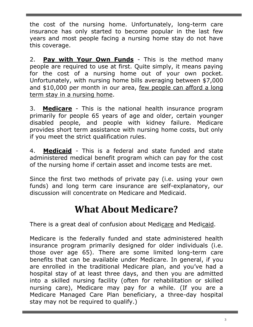the cost of the nursing home. Unfortunately, long-term care insurance has only started to become popular in the last few years and most people facing a nursing home stay do not have this coverage.

2. **Pay with Your Own Funds** - This is the method many people are required to use at first. Quite simply, it means paying for the cost of a nursing home out of your own pocket. Unfortunately, with nursing home bills averaging between \$7,000 and \$10,000 per month in our area, few people can afford a long term stay in a nursing home.

3. **Medicare** - This is the national health insurance program primarily for people 65 years of age and older, certain younger disabled people, and people with kidney failure. Medicare provides short term assistance with nursing home costs, but only if you meet the strict qualification rules.

4. **Medicaid** - This is a federal and state funded and state administered medical benefit program which can pay for the cost of the nursing home if certain asset and income tests are met.

Since the first two methods of private pay (i.e. using your own funds) and long term care insurance are self-explanatory, our discussion will concentrate on Medicare and Medicaid.

# **What About Medicare?**

There is a great deal of confusion about Medicare and Medicaid.

Medicare is the federally funded and state administered health insurance program primarily designed for older individuals (i.e. those over age 65). There are some limited long-term care benefits that can be available under Medicare. In general, if you are enrolled in the traditional Medicare plan, and you've had a hospital stay of at least three days, and then you are admitted into a skilled nursing facility (often for rehabilitation or skilled nursing care), Medicare may pay for a while. (If you are a Medicare Managed Care Plan beneficiary, a three-day hospital stay may not be required to qualify.)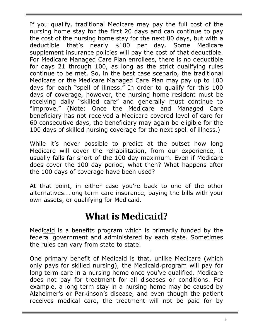If you qualify, traditional Medicare may pay the full cost of the nursing home stay for the first 20 days and can continue to pay the cost of the nursing home stay for the next 80 days, but with a deductible that's nearly \$100 per day. Some Medicare supplement insurance policies will pay the cost of that deductible. For Medicare Managed Care Plan enrollees, there is no deductible for days 21 through 100, as long as the strict qualifying rules continue to be met. So, in the best case scenario, the traditional Medicare or the Medicare Managed Care Plan may pay up to 100 days for each "spell of illness." In order to qualify for this 100 days of coverage, however, the nursing home resident must be receiving daily "skilled care" and generally must continue to "improve." (Note: Once the Medicare and Managed Care beneficiary has not received a Medicare covered level of care for 60 consecutive days, the beneficiary may again be eligible for the 100 days of skilled nursing coverage for the next spell of illness.)

While it's never possible to predict at the outset how long Medicare will cover the rehabilitation, from our experience, it usually falls far short of the 100 day maximum. Even if Medicare does cover the 100 day period, what then? What happens after the 100 days of coverage have been used?

At that point, in either case you're back to one of the other alternatives...long term care insurance, paying the bills with your own assets, or qualifying for Medicaid.

### **What is Medicaid?**

Medicaid is a benefits program which is primarily funded by the federal government and administered by each state. Sometimes the rules can vary from state to state.

One primary benefit of Medicaid is that, unlike Medicare (which only pays for skilled nursing), the Medicaid program will pay for long term care in a nursing home once you've qualified. Medicare does not pay for treatment for all diseases or conditions. For example, a long term stay in a nursing home may be caused by Alzheimer's or Parkinson's disease, and even though the patient receives medical care, the treatment will not be paid for by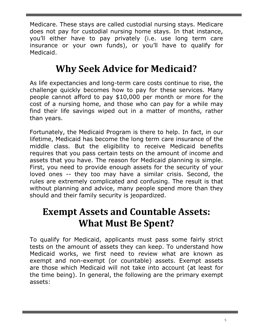Medicare. These stays are called custodial nursing stays. Medicare does not pay for custodial nursing home stays. In that instance, you'll either have to pay privately (i.e. use long term care insurance or your own funds), or you'll have to qualify for Medicaid.

# **Why Seek Advice for Medicaid?**

As life expectancies and long-term care costs continue to rise, the challenge quickly becomes how to pay for these services. Many people cannot afford to pay \$10,000 per month or more for the cost of a nursing home, and those who can pay for a while may find their life savings wiped out in a matter of months, rather than years.

Fortunately, the Medicaid Program is there to help. In fact, in our lifetime, Medicaid has become the long term care insurance of the middle class. But the eligibility to receive Medicaid benefits requires that you pass certain tests on the amount of income and assets that you have. The reason for Medicaid planning is simple. First, you need to provide enough assets for the security of your loved ones -- they too may have a similar crisis. Second, the rules are extremely complicated and confusing. The result is that without planning and advice, many people spend more than they should and their family security is jeopardized.

# **Exempt Assets and Countable Assets: What Must Be Spent?**

To qualify for Medicaid, applicants must pass some fairly strict tests on the amount of assets they can keep. To understand how Medicaid works, we first need to review what are known as exempt and non-exempt (or countable) assets. Exempt assets are those which Medicaid will not take into account (at least for the time being). In general, the following are the primary exempt assets: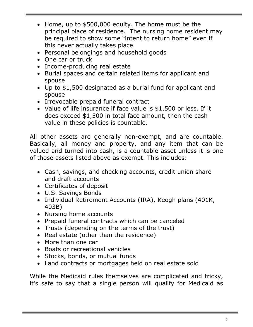- Home, up to \$500,000 equity. The home must be the principal place of residence. The nursing home resident may be required to show some "intent to return home" even if this never actually takes place.
- Personal belongings and household goods
- One car or truck
- Income-producing real estate
- Burial spaces and certain related items for applicant and spouse
- Up to \$1,500 designated as a burial fund for applicant and spouse
- Irrevocable prepaid funeral contract
- Value of life insurance if face value is \$1,500 or less. If it does exceed \$1,500 in total face amount, then the cash value in these policies is countable.

All other assets are generally non-exempt, and are countable. Basically, all money and property, and any item that can be valued and turned into cash, is a countable asset unless it is one of those assets listed above as exempt. This includes:

- Cash, savings, and checking accounts, credit union share and draft accounts
- Certificates of deposit
- U.S. Savings Bonds
- Individual Retirement Accounts (IRA), Keogh plans (401K, 403B)
- Nursing home accounts
- Prepaid funeral contracts which can be canceled
- Trusts (depending on the terms of the trust)
- Real estate (other than the residence)
- More than one car
- Boats or recreational vehicles
- Stocks, bonds, or mutual funds
- Land contracts or mortgages held on real estate sold

While the Medicaid rules themselves are complicated and tricky, it's safe to say that a single person will qualify for Medicaid as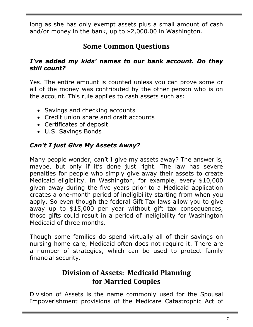long as she has only exempt assets plus a small amount of cash and/or money in the bank, up to \$2,000.00 in Washington.

### **Some Common Questions**

#### *I've added my kids' names to our bank account. Do they still count?*

Yes. The entire amount is counted unless you can prove some or all of the money was contributed by the other person who is on the account. This rule applies to cash assets such as:

- Savings and checking accounts
- Credit union share and draft accounts
- Certificates of deposit
- U.S. Savings Bonds

#### *Can't I just Give My Assets Away?*

Many people wonder, can't I give my assets away? The answer is, maybe, but only if it's done just right. The law has severe penalties for people who simply give away their assets to create Medicaid eligibility. In Washington, for example, every \$10,000 given away during the five years prior to a Medicaid application creates a one-month period of ineligibility starting from when you apply. So even though the federal Gift Tax laws allow you to give away up to \$15,000 per year without gift tax consequences, those gifts could result in a period of ineligibility for Washington Medicaid of three months.

Though some families do spend virtually all of their savings on nursing home care, Medicaid often does not require it. There are a number of strategies, which can be used to protect family financial security.

### **Division of Assets: Medicaid Planning for Married Couples**

Division of Assets is the name commonly used for the Spousal Impoverishment provisions of the Medicare Catastrophic Act of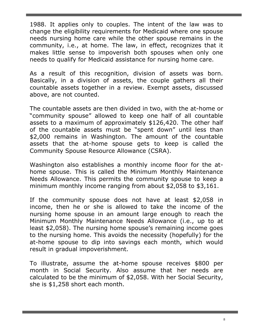1988. It applies only to couples. The intent of the law was to change the eligibility requirements for Medicaid where one spouse needs nursing home care while the other spouse remains in the community, i.e., at home. The law, in effect, recognizes that it makes little sense to impoverish both spouses when only one needs to qualify for Medicaid assistance for nursing home care.

As a result of this recognition, division of assets was born. Basically, in a division of assets, the couple gathers all their countable assets together in a review. Exempt assets, discussed above, are not counted.

The countable assets are then divided in two, with the at-home or "community spouse" allowed to keep one half of all countable assets to a maximum of approximately \$126,420. The other half of the countable assets must be "spent down" until less than \$2,000 remains in Washington. The amount of the countable assets that the at-home spouse gets to keep is called the Community Spouse Resource Allowance (CSRA).

Washington also establishes a monthly income floor for the athome spouse. This is called the Minimum Monthly Maintenance Needs Allowance. This permits the community spouse to keep a minimum monthly income ranging from about \$2,058 to \$3,161.

If the community spouse does not have at least \$2,058 in income, then he or she is allowed to take the income of the nursing home spouse in an amount large enough to reach the Minimum Monthly Maintenance Needs Allowance (i.e., up to at least \$2,058). The nursing home spouse's remaining income goes to the nursing home. This avoids the necessity (hopefully) for the at-home spouse to dip into savings each month, which would result in gradual impoverishment.

To illustrate, assume the at-home spouse receives \$800 per month in Social Security. Also assume that her needs are calculated to be the minimum of \$2,058. With her Social Security, she is \$1,258 short each month.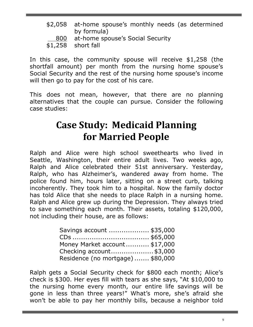- \$2,058 at-home spouse's monthly needs (as determined by formula)
- 800 at-home spouse's Social Security

\$1,258 short fall

In this case, the community spouse will receive \$1,258 (the shortfall amount) per month from the nursing home spouse's Social Security and the rest of the nursing home spouse's income will then go to pay for the cost of his care.

This does not mean, however, that there are no planning alternatives that the couple can pursue. Consider the following case studies:

# **Case Study: Medicaid Planning for Married People**

Ralph and Alice were high school sweethearts who lived in Seattle, Washington, their entire adult lives. Two weeks ago, Ralph and Alice celebrated their 51st anniversary. Yesterday, Ralph, who has Alzheimer's, wandered away from home. The police found him, hours later, sitting on a street curb, talking incoherently. They took him to a hospital. Now the family doctor has told Alice that she needs to place Ralph in a nursing home. Ralph and Alice grew up during the Depression. They always tried to save something each month. Their assets, totaling \$120,000, not including their house, are as follows:

| Savings account  \$35,000        |  |
|----------------------------------|--|
|                                  |  |
| Money Market account \$17,000    |  |
| Checking account\$3,000          |  |
| Residence (no mortgage) \$80,000 |  |

Ralph gets a Social Security check for \$800 each month; Alice's check is \$300. Her eyes fill with tears as she says, "At \$10,000 to the nursing home every month, our entire life savings will be gone in less than three years!" What's more, she's afraid she won't be able to pay her monthly bills, because a neighbor told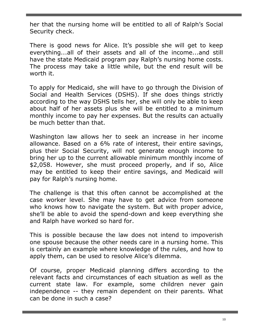her that the nursing home will be entitled to all of Ralph's Social Security check.

There is good news for Alice. It's possible she will get to keep everything...all of their assets and all of the income...and still have the state Medicaid program pay Ralph's nursing home costs. The process may take a little while, but the end result will be worth it.

To apply for Medicaid, she will have to go through the Division of Social and Health Services (DSHS). If she does things strictly according to the way DSHS tells her, she will only be able to keep about half of her assets plus she will be entitled to a minimum monthly income to pay her expenses. But the results can actually be much better than that.

Washington law allows her to seek an increase in her income allowance. Based on a 6% rate of interest, their entire savings, plus their Social Security, will not generate enough income to bring her up to the current allowable minimum monthly income of \$2,058. However, she must proceed properly, and if so, Alice may be entitled to keep their entire savings, and Medicaid will pay for Ralph's nursing home.

The challenge is that this often cannot be accomplished at the case worker level. She may have to get advice from someone who knows how to navigate the system. But with proper advice, she'll be able to avoid the spend-down and keep everything she and Ralph have worked so hard for.

This is possible because the law does not intend to impoverish one spouse because the other needs care in a nursing home. This is certainly an example where knowledge of the rules, and how to apply them, can be used to resolve Alice's dilemma.

Of course, proper Medicaid planning differs according to the relevant facts and circumstances of each situation as well as the current state law. For example, some children never gain independence -- they remain dependent on their parents. What can be done in such a case?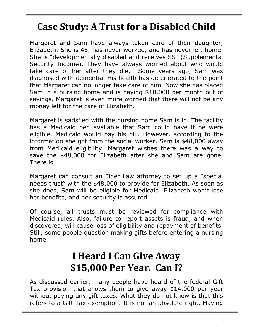# **Case Study: A Trust for a Disabled Child**

Margaret and Sam have always taken care of their daughter, Elizabeth. She is 45, has never worked, and has never left home. She is "developmentally disabled and receives SSI (Supplemental Security Income). They have always worried about who would take care of her after they die. Some years ago, Sam was diagnosed with dementia. His health has deteriorated to the point that Margaret can no longer take care of him. Now she has placed Sam in a nursing home and is paying \$10,000 per month out of savings. Margaret is even more worried that there will not be any money left for the care of Elizabeth.

Margaret is satisfied with the nursing home Sam is in. The facility has a Medicaid bed available that Sam could have if he were eligible. Medicaid would pay his bill. However, according to the information she got from the social worker, Sam is \$48,000 away from Medicaid eligibility. Margaret wishes there was a way to save the \$48,000 for Elizabeth after she and Sam are gone. There is.

Margaret can consult an Elder Law attorney to set up a "special needs trust" with the \$48,000 to provide for Elizabeth. As soon as she does, Sam will be eligible for Medicaid. Elizabeth won't lose her benefits, and her security is assured.

Of course, all trusts must be reviewed for compliance with Medicaid rules. Also, failure to report assets is fraud, and when discovered, will cause loss of eligibility and repayment of benefits. Still, some people question making gifts before entering a nursing home.

### **I Heard I Can Give Away \$15,000 Per Year. Can I?**

As discussed earlier, many people have heard of the federal Gift Tax provision that allows them to give away \$14,000 per year without paying any gift taxes. What they do not know is that this refers to a Gift Tax exemption. It is not an absolute right. Having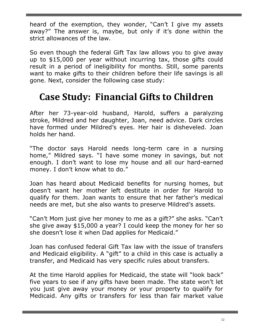heard of the exemption, they wonder, "Can't I give my assets away?" The answer is, maybe, but only if it's done within the strict allowances of the law.

So even though the federal Gift Tax law allows you to give away up to \$15,000 per year without incurring tax, those gifts could result in a period of ineligibility for months. Still, some parents want to make gifts to their children before their life savings is all gone. Next, consider the following case study:

# **Case Study: Financial Gifts to Children**

After her 73-year-old husband, Harold, suffers a paralyzing stroke, Mildred and her daughter, Joan, need advice. Dark circles have formed under Mildred's eyes. Her hair is disheveled. Joan holds her hand.

"The doctor says Harold needs long-term care in a nursing home," Mildred says. "I have some money in savings, but not enough. I don't want to lose my house and all our hard-earned money. I don't know what to do."

Joan has heard about Medicaid benefits for nursing homes, but doesn't want her mother left destitute in order for Harold to qualify for them. Joan wants to ensure that her father's medical needs are met, but she also wants to preserve Mildred's assets.

"Can't Mom just give her money to me as a gift?" she asks. "Can't she give away \$15,000 a year? I could keep the money for her so she doesn't lose it when Dad applies for Medicaid."

Joan has confused federal Gift Tax law with the issue of transfers and Medicaid eligibility. A "gift" to a child in this case is actually a transfer, and Medicaid has very specific rules about transfers.

At the time Harold applies for Medicaid, the state will "look back" five years to see if any gifts have been made. The state won't let you just give away your money or your property to qualify for Medicaid. Any gifts or transfers for less than fair market value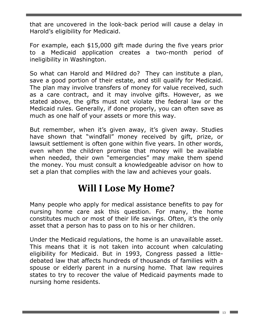that are uncovered in the look-back period will cause a delay in Harold's eligibility for Medicaid.

For example, each \$15,000 gift made during the five years prior to a Medicaid application creates a two-month period of ineligibility in Washington.

So what can Harold and Mildred do? They can institute a plan, save a good portion of their estate, and still qualify for Medicaid. The plan may involve transfers of money for value received, such as a care contract, and it may involve gifts. However, as we stated above, the gifts must not violate the federal law or the Medicaid rules. Generally, if done properly, you can often save as much as one half of your assets or more this way.

But remember, when it's given away, it's given away. Studies have shown that "windfall" money received by gift, prize, or lawsuit settlement is often gone within five years. In other words, even when the children promise that money will be available when needed, their own "emergencies" may make them spend the money. You must consult a knowledgeable advisor on how to set a plan that complies with the law and achieves your goals.

### **Will I Lose My Home?**

Many people who apply for medical assistance benefits to pay for nursing home care ask this question. For many, the home constitutes much or most of their life savings. Often, it's the only asset that a person has to pass on to his or her children.

Under the Medicaid regulations, the home is an unavailable asset. This means that it is not taken into account when calculating eligibility for Medicaid. But in 1993, Congress passed a littledebated law that affects hundreds of thousands of families with a spouse or elderly parent in a nursing home. That law requires states to try to recover the value of Medicaid payments made to nursing home residents.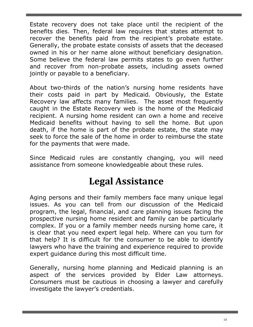Estate recovery does not take place until the recipient of the benefits dies. Then, federal law requires that states attempt to recover the benefits paid from the recipient's probate estate. Generally, the probate estate consists of assets that the deceased owned in his or her name alone without beneficiary designation. Some believe the federal law permits states to go even further and recover from non-probate assets, including assets owned jointly or payable to a beneficiary.

About two-thirds of the nation's nursing home residents have their costs paid in part by Medicaid. Obviously, the Estate Recovery law affects many families. The asset most frequently caught in the Estate Recovery web is the home of the Medicaid recipient. A nursing home resident can own a home and receive Medicaid benefits without having to sell the home. But upon death, if the home is part of the probate estate, the state may seek to force the sale of the home in order to reimburse the state for the payments that were made.

Since Medicaid rules are constantly changing, you will need assistance from someone knowledgeable about these rules.

### **Legal Assistance**

Aging persons and their family members face many unique legal issues. As you can tell from our discussion of the Medicaid program, the legal, financial, and care planning issues facing the prospective nursing home resident and family can be particularly complex. If you or a family member needs nursing home care, it is clear that you need expert legal help. Where can you turn for that help? It is difficult for the consumer to be able to identify lawyers who have the training and experience required to provide expert guidance during this most difficult time.

Generally, nursing home planning and Medicaid planning is an aspect of the services provided by Elder Law attorneys. Consumers must be cautious in choosing a lawyer and carefully investigate the lawyer's credentials.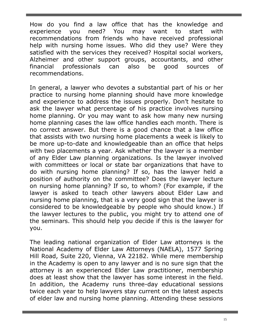How do you find a law office that has the knowledge and experience you need? You may want to start with recommendations from friends who have received professional help with nursing home issues. Who did they use? Were they satisfied with the services they received? Hospital social workers, Alzheimer and other support groups, accountants, and other financial professionals can also be good sources of recommendations.

In general, a lawyer who devotes a substantial part of his or her practice to nursing home planning should have more knowledge and experience to address the issues properly. Don't hesitate to ask the lawyer what percentage of his practice involves nursing home planning. Or you may want to ask how many new nursing home planning cases the law office handles each month. There is no correct answer. But there is a good chance that a law office that assists with two nursing home placements a week is likely to be more up-to-date and knowledgeable than an office that helps with two placements a year. Ask whether the lawyer is a member of any Elder Law planning organizations. Is the lawyer involved with committees or local or state bar organizations that have to do with nursing home planning? If so, has the lawyer held a position of authority on the committee? Does the lawyer lecture on nursing home planning? If so, to whom? (For example, if the lawyer is asked to teach other lawyers about Elder Law and nursing home planning, that is a very good sign that the lawyer is considered to be knowledgeable by people who should know.) If the lawyer lectures to the public, you might try to attend one of the seminars. This should help you decide if this is the lawyer for you.

The leading national organization of Elder Law attorneys is the National Academy of Elder Law Attorneys (NAELA), 1577 Spring Hill Road, Suite 220, Vienna, VA 22182. While mere membership in the Academy is open to any lawyer and is no sure sign that the attorney is an experienced Elder Law practitioner, membership does at least show that the lawyer has some interest in the field. In addition, the Academy runs three-day educational sessions twice each year to help lawyers stay current on the latest aspects of elder law and nursing home planning. Attending these sessions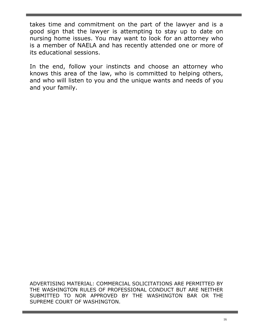takes time and commitment on the part of the lawyer and is a good sign that the lawyer is attempting to stay up to date on nursing home issues. You may want to look for an attorney who is a member of NAELA and has recently attended one or more of its educational sessions.

In the end, follow your instincts and choose an attorney who knows this area of the law, who is committed to helping others, and who will listen to you and the unique wants and needs of you and your family.

ADVERTISING MATERIAL: COMMERCIAL SOLICITATIONS ARE PERMITTED BY THE WASHINGTON RULES OF PROFESSIONAL CONDUCT BUT ARE NEITHER SUBMITTED TO NOR APPROVED BY THE WASHINGTON BAR OR THE SUPREME COURT OF WASHINGTON.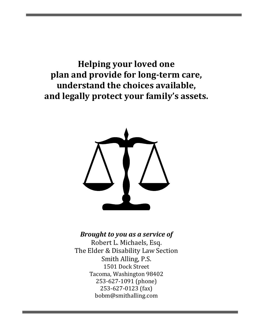**Helping your loved one plan and provide for long-term care, understand the choices available, and legally protect your family's assets.**



#### *Brought to you as a service of*

Robert L. Michaels, Esq. The Elder & Disability Law Section Smith Alling, P.S. 1501 Dock Street Tacoma, Washington 98402 253-627-1091 (phone) 253-627-0123 (fax) bobm@smithalling.com